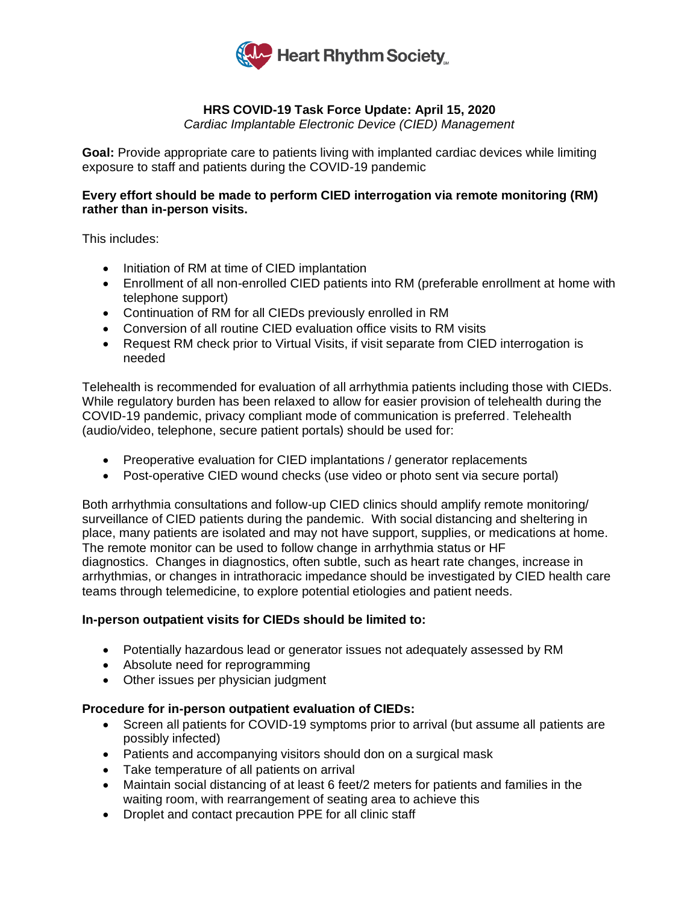

# **HRS COVID-19 Task Force Update: April 15, 2020**

*Cardiac Implantable Electronic Device (CIED) Management*

**Goal:** Provide appropriate care to patients living with implanted cardiac devices while limiting exposure to staff and patients during the COVID-19 pandemic

## **Every effort should be made to perform CIED interrogation via remote monitoring (RM) rather than in-person visits.**

This includes:

- Initiation of RM at time of CIED implantation
- Enrollment of all non-enrolled CIED patients into RM (preferable enrollment at home with telephone support)
- Continuation of RM for all CIEDs previously enrolled in RM
- Conversion of all routine CIED evaluation office visits to RM visits
- Request RM check prior to Virtual Visits, if visit separate from CIED interrogation is needed

Telehealth is recommended for evaluation of all arrhythmia patients including those with CIEDs. While regulatory burden has been relaxed to allow for easier provision of telehealth during the COVID-19 pandemic, privacy compliant mode of communication is preferred. Telehealth (audio/video, telephone, secure patient portals) should be used for:

- Preoperative evaluation for CIED implantations / generator replacements
- Post-operative CIED wound checks (use video or photo sent via secure portal)

Both arrhythmia consultations and follow-up CIED clinics should amplify remote monitoring/ surveillance of CIED patients during the pandemic. With social distancing and sheltering in place, many patients are isolated and may not have support, supplies, or medications at home. The remote monitor can be used to follow change in arrhythmia status or HF diagnostics. Changes in diagnostics, often subtle, such as heart rate changes, increase in arrhythmias, or changes in intrathoracic impedance should be investigated by CIED health care teams through telemedicine, to explore potential etiologies and patient needs.

## **In-person outpatient visits for CIEDs should be limited to:**

- Potentially hazardous lead or generator issues not adequately assessed by RM
- Absolute need for reprogramming
- Other issues per physician judgment

## **Procedure for in-person outpatient evaluation of CIEDs:**

- Screen all patients for COVID-19 symptoms prior to arrival (but assume all patients are possibly infected)
- Patients and accompanying visitors should don on a surgical mask
- Take temperature of all patients on arrival
- Maintain social distancing of at least 6 feet/2 meters for patients and families in the waiting room, with rearrangement of seating area to achieve this
- Droplet and contact precaution PPE for all clinic staff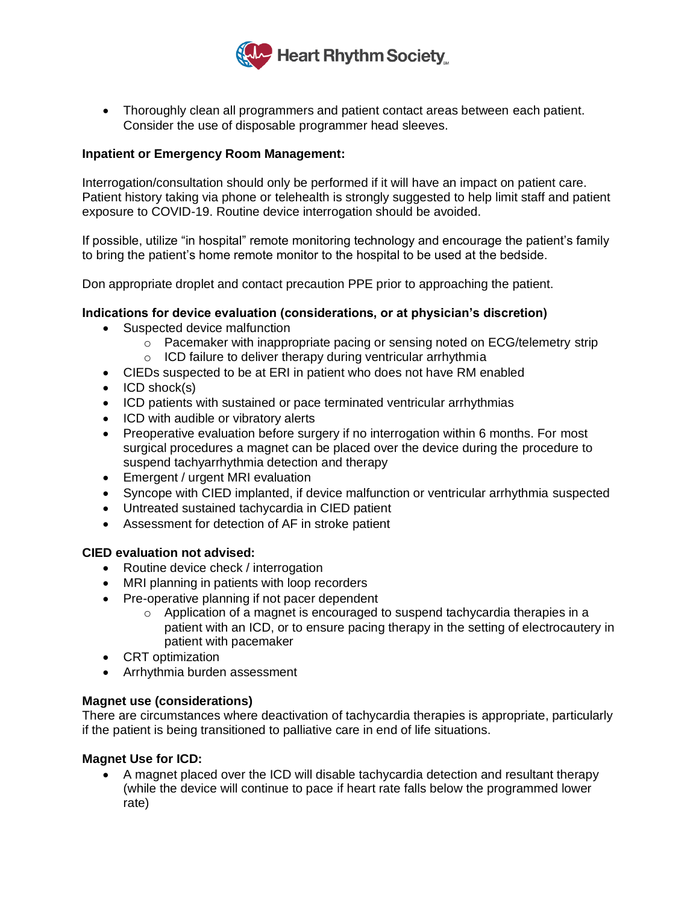

• Thoroughly clean all programmers and patient contact areas between each patient. Consider the use of disposable programmer head sleeves.

## **Inpatient or Emergency Room Management:**

Interrogation/consultation should only be performed if it will have an impact on patient care. Patient history taking via phone or telehealth is strongly suggested to help limit staff and patient exposure to COVID-19. Routine device interrogation should be avoided.

If possible, utilize "in hospital" remote monitoring technology and encourage the patient's family to bring the patient's home remote monitor to the hospital to be used at the bedside.

Don appropriate droplet and contact precaution PPE prior to approaching the patient.

### **Indications for device evaluation (considerations, or at physician's discretion)**

- Suspected device malfunction
	- $\circ$  Pacemaker with inappropriate pacing or sensing noted on ECG/telemetry strip
	- o ICD failure to deliver therapy during ventricular arrhythmia
- CIEDs suspected to be at ERI in patient who does not have RM enabled
- ICD shock(s)
- ICD patients with sustained or pace terminated ventricular arrhythmias
- ICD with audible or vibratory alerts
- Preoperative evaluation before surgery if no interrogation within 6 months. For most surgical procedures a magnet can be placed over the device during the procedure to suspend tachyarrhythmia detection and therapy
- Emergent / urgent MRI evaluation
- Syncope with CIED implanted, if device malfunction or ventricular arrhythmia suspected
- Untreated sustained tachycardia in CIED patient
- Assessment for detection of AF in stroke patient

#### **CIED evaluation not advised:**

- Routine device check / interrogation
- MRI planning in patients with loop recorders
- Pre-operative planning if not pacer dependent
	- $\circ$  Application of a magnet is encouraged to suspend tachycardia therapies in a patient with an ICD, or to ensure pacing therapy in the setting of electrocautery in patient with pacemaker
- CRT optimization
- Arrhythmia burden assessment

#### **Magnet use (considerations)**

There are circumstances where deactivation of tachycardia therapies is appropriate, particularly if the patient is being transitioned to palliative care in end of life situations.

#### **Magnet Use for ICD:**

• A magnet placed over the ICD will disable tachycardia detection and resultant therapy (while the device will continue to pace if heart rate falls below the programmed lower rate)